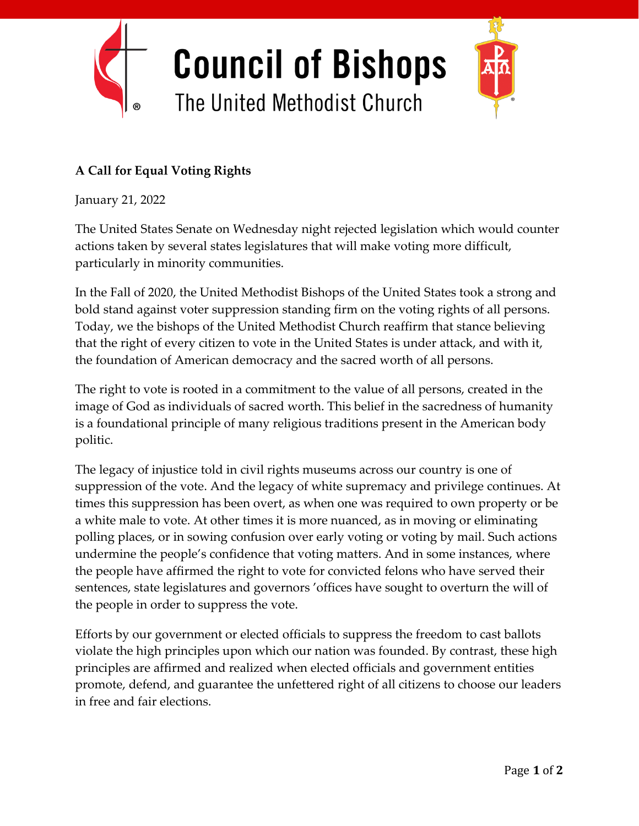

## **A Call for Equal Voting Rights**

January 21, 2022

The United States Senate on Wednesday night rejected legislation which would counter actions taken by several states legislatures that will make voting more difficult, particularly in minority communities.

In the Fall of 2020, the United Methodist Bishops of the United States took a strong and bold stand against voter suppression standing firm on the voting rights of all persons. Today, we the bishops of the United Methodist Church reaffirm that stance believing that the right of every citizen to vote in the United States is under attack, and with it, the foundation of American democracy and the sacred worth of all persons.

The right to vote is rooted in a commitment to the value of all persons, created in the image of God as individuals of sacred worth. This belief in the sacredness of humanity is a foundational principle of many religious traditions present in the American body politic.

The legacy of injustice told in civil rights museums across our country is one of suppression of the vote. And the legacy of white supremacy and privilege continues. At times this suppression has been overt, as when one was required to own property or be a white male to vote. At other times it is more nuanced, as in moving or eliminating polling places, or in sowing confusion over early voting or voting by mail. Such actions undermine the people's confidence that voting matters. And in some instances, where the people have affirmed the right to vote for convicted felons who have served their sentences, state legislatures and governors 'offices have sought to overturn the will of the people in order to suppress the vote.

Efforts by our government or elected officials to suppress the freedom to cast ballots violate the high principles upon which our nation was founded. By contrast, these high principles are affirmed and realized when elected officials and government entities promote, defend, and guarantee the unfettered right of all citizens to choose our leaders in free and fair elections.